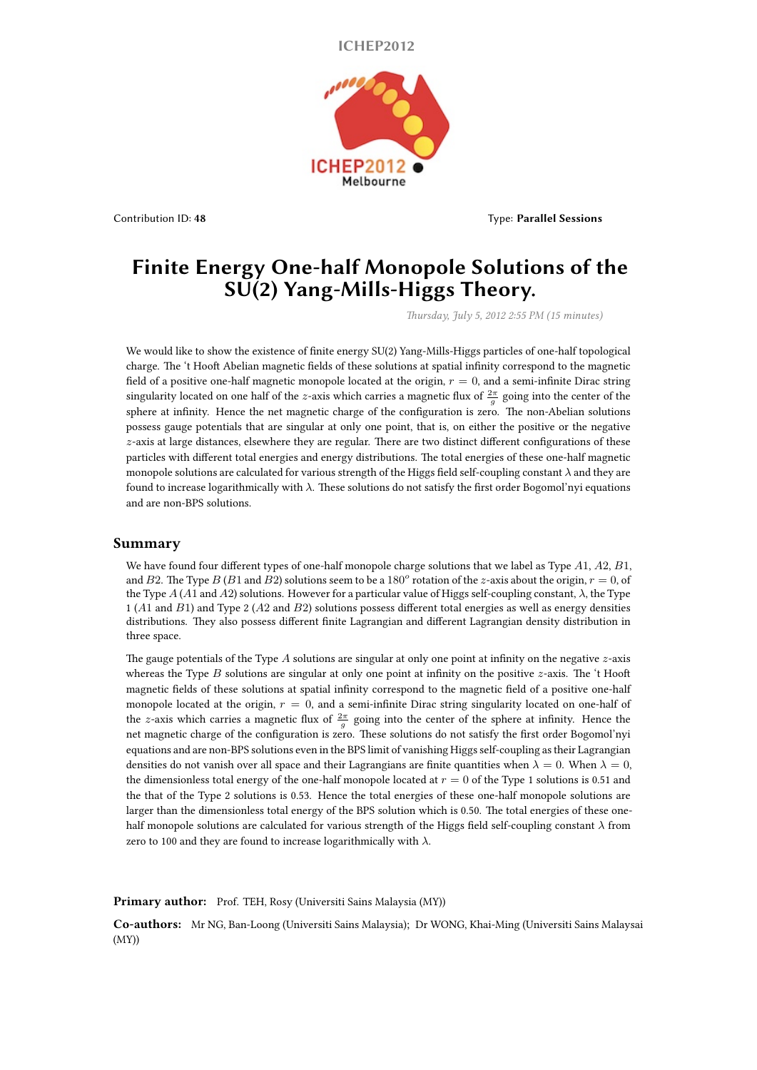**ICHEP2012**



Contribution ID: **48** Type: **Parallel Sessions**

## **Finite Energy One-half Monopole Solutions of the SU(2) Yang-Mills-Higgs Theory.**

*Thursday, July 5, 2012 2:55 PM (15 minutes)*

We would like to show the existence of finite energy SU(2) Yang-Mills-Higgs particles of one-half topological charge. The 't Hooft Abelian magnetic fields of these solutions at spatial infinity correspond to the magnetic field of a positive one-half magnetic monopole located at the origin,  $r = 0$ , and a semi-infinite Dirac string singularity located on one half of the *z*-axis which carries a magnetic flux of  $\frac{2\pi}{g}$  going into the center of the sphere at infinity. Hence the net magnetic charge of the configuration is zero. The non-Abelian solutions possess gauge potentials that are singular at only one point, that is, on either the positive or the negative *z*-axis at large distances, elsewhere they are regular. There are two distinct different configurations of these particles with different total energies and energy distributions. The total energies of these one-half magnetic monopole solutions are calculated for various strength of the Higgs field self-coupling constant *λ* and they are found to increase logarithmically with *λ*. These solutions do not satisfy the first order Bogomol'nyi equations and are non-BPS solutions.

## **Summary**

We have found four different types of one-half monopole charge solutions that we label as Type *A*1, *A*2, *B*1, and *B*2. The Type *B* (*B*1 and *B*2) solutions seem to be a 180<sup>*o*</sup> rotation of the *z*-axis about the origin,  $r = 0$ , of the Type *A* (*A*1 and *A*2) solutions. However for a particular value of Higgs self-coupling constant, *λ*, the Type 1 (*A*1 and *B*1) and Type 2 (*A*2 and *B*2) solutions possess different total energies as well as energy densities distributions. They also possess different finite Lagrangian and different Lagrangian density distribution in three space.

The gauge potentials of the Type *A* solutions are singular at only one point at infinity on the negative *z*-axis whereas the Type *B* solutions are singular at only one point at infinity on the positive *z*-axis. The 't Hooft magnetic fields of these solutions at spatial infinity correspond to the magnetic field of a positive one-half monopole located at the origin,  $r = 0$ , and a semi-infinite Dirac string singularity located on one-half of the *z*-axis which carries a magnetic flux of  $\frac{2\pi}{g}$  going into the center of the sphere at infinity. Hence the net magnetic charge of the configuration is zero. These solutions do not satisfy the first order Bogomol'nyi equations and are non-BPS solutions even in the BPS limit of vanishing Higgs self-coupling as their Lagrangian densities do not vanish over all space and their Lagrangians are finite quantities when  $\lambda = 0$ . When  $\lambda = 0$ , the dimensionless total energy of the one-half monopole located at *r* = 0 of the Type 1 solutions is 0.51 and the that of the Type 2 solutions is 0.53. Hence the total energies of these one-half monopole solutions are larger than the dimensionless total energy of the BPS solution which is 0.50. The total energies of these onehalf monopole solutions are calculated for various strength of the Higgs field self-coupling constant *λ* from zero to 100 and they are found to increase logarithmically with *λ*.

Primary author: Prof. TEH, Rosy (Universiti Sains Malaysia (MY))

**Co-authors:** Mr NG, Ban-Loong (Universiti Sains Malaysia); Dr WONG, Khai-Ming (Universiti Sains Malaysai (MY))